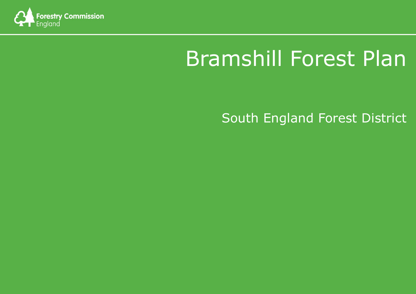

# Bramshill Forest Plan

# South England Forest District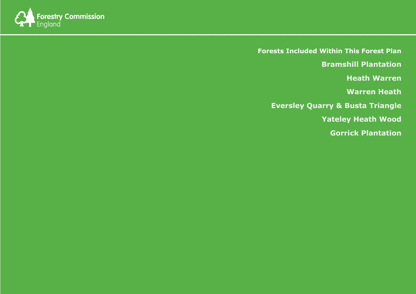

**Forests Included Within This Forest Plan Bramshill Plantation Heath Warren Warren Heath Eversley Quarry & Busta Triangle Yateley Heath Wood Gorrick Plantation**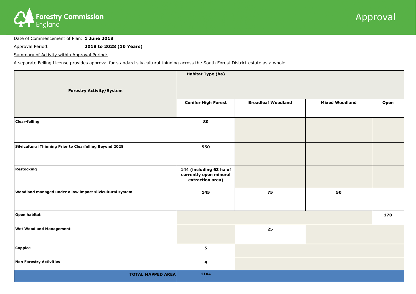

Date of Commencement of Plan: **1 June 2018**

Approval Period: **2018 to 2028 (10 Years)**

Summary of Activity within Approval Period:

A separate Felling License provides approval for standard silvicultural thinning across the South Forest District estate as a whole.



|                                                          | Habitat Type (ha)                                                     |                           |                       |      |
|----------------------------------------------------------|-----------------------------------------------------------------------|---------------------------|-----------------------|------|
| <b>Forestry Activity/System</b>                          |                                                                       |                           |                       |      |
|                                                          | <b>Conifer High Forest</b>                                            | <b>Broadleaf Woodland</b> | <b>Mixed Woodland</b> | Open |
| <b>Clear-felling</b>                                     | 80                                                                    |                           |                       |      |
| Silvicultural Thinning Prior to Clearfelling Beyond 2028 | 550                                                                   |                           |                       |      |
| Restocking                                               | 144 (including 63 ha of<br>currently open mineral<br>extraction area) |                           |                       |      |
| Woodland managed under a low impact silvicultural system | 145                                                                   | 75                        | 50                    |      |
| Open habitat                                             |                                                                       |                           |                       | 170  |
| <b>Wet Woodland Management</b>                           |                                                                       | 25                        |                       |      |
| Coppice                                                  | 5                                                                     |                           |                       |      |
| Non Forestry Activities                                  | $\overline{\mathbf{4}}$                                               |                           |                       |      |
| <b>TOTAL MAPPED AREA</b>                                 | 1104                                                                  |                           |                       |      |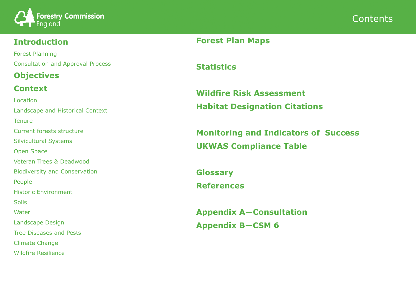

### **Introduction**

Forest Planning Consultation and Approval Process

# **Objectives**

## **Context**

Location Landscape and Historical Context **Tenure** Current forests structure Silvicultural Systems Open Space Veteran Trees & Deadwood Biodiversity and Conservation People Historic Environment **Soils** Water Landscape Design Tree Diseases and Pests Climate Change Wildfire Resilience



**Forest Plan Maps**

**Statistics**

**Wildfire Risk Assessment Habitat Designation Citations**

**Monitoring and Indicators of Success UKWAS Compliance Table**

**Glossary References**

**Appendix A—Consultation Appendix B—CSM 6**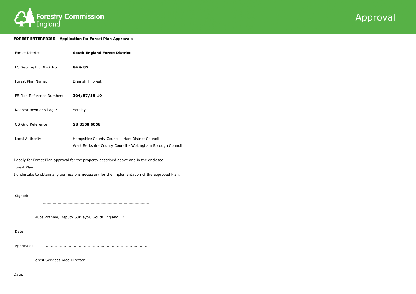



#### **FOREST ENTERPRISE Application for Forest Plan Approvals**

| <b>Forest District:</b>   | <b>South England Forest District</b>                                                                          |
|---------------------------|---------------------------------------------------------------------------------------------------------------|
| FC Geographic Block No:   | 84 & 85                                                                                                       |
| Forest Plan Name:         | <b>Bramshill Forest</b>                                                                                       |
| FE Plan Reference Number: | 304/87/18-19                                                                                                  |
| Nearest town or village:  | Yateley                                                                                                       |
| OS Grid Reference:        | SU 8158 6058                                                                                                  |
| Local Authority:          | Hampshire County Council - Hart District Council<br>West Berkshire County Council - Wokingham Borough Council |

I apply for Forest Plan approval for the property described above and in the enclosed Forest Plan.

I undertake to obtain any permissions necessary for the implementation of the approved Plan.

Signed:

 **…………………………………………………………………………...**

Bruce Rothnie, Deputy Surveyor, South England FD

Date:

Approved: ....................................................................................

Forest Services Area Director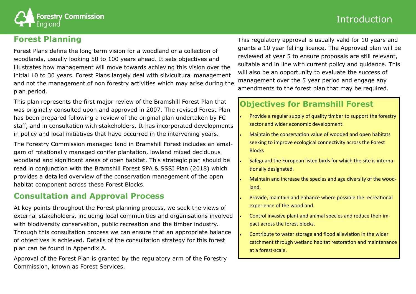

### **Forest Planning**

Forest Plans define the long term vision for a woodland or a collection of woodlands, usually looking 50 to 100 years ahead. It sets objectives and illustrates how management will move towards achieving this vision over the initial 10 to 30 years. Forest Plans largely deal with silvicultural management and not the management of non forestry activities which may arise during the plan period.

This plan represents the first major review of the Bramshill Forest Plan that was originally consulted upon and approved in 2007. The revised Forest Plan has been prepared following a review of the original plan undertaken by FC staff, and in consultation with stakeholders. It has incorporated developments in policy and local initiatives that have occurred in the intervening years.

The Forestry Commission managed land in Bramshill Forest includes an amalgam of rotationally managed conifer plantation, lowland mixed deciduous woodland and significant areas of open habitat. This strategic plan should be read in conjunction with the Bramshill Forest SPA & SSSI Plan (2018) which provides a detailed overview of the conservation management of the open habitat component across these Forest Blocks.

### **Consultation and Approval Process**

At key points throughout the Forest planning process, we seek the views of external stakeholders, including local communities and organisations involved with biodiversity conservation, public recreation and the timber industry. Through this consultation process we can ensure that an appropriate balance of objectives is achieved. Details of the consultation strategy for this forest plan can be found in Appendix A.

Approval of the Forest Plan is granted by the regulatory arm of the Forestry Commission, known as Forest Services.

# Introduction

# **Objectives for Bramshill Forest**

Provide a regular supply of quality timber to support the forestry

 Maintain the conservation value of wooded and open habitats seeking to improve ecological connectivity across the Forest

Safeguard the European listed birds for which the site is interna-

Maintain and increase the species and age diversity of the wood-

- sector and wider economic development.
- **Blocks**
- tionally designated.
- land.
- experience of the woodland.
- pact across the forest blocks.
- at a forest-scale.

Provide, maintain and enhance where possible the recreational

Control invasive plant and animal species and reduce their im-

 Contribute to water storage and flood alleviation in the wider catchment through wetland habitat restoration and maintenance

This regulatory approval is usually valid for 10 years and grants a 10 year felling licence. The Approved plan will be reviewed at year 5 to ensure proposals are still relevant, suitable and in line with current policy and guidance. This will also be an opportunity to evaluate the success of management over the 5 year period and engage any amendments to the forest plan that may be required.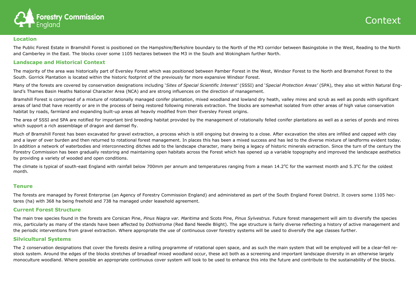### Context



### **Location**

The Public Forest Estate in Bramshill Forest is positioned on the Hampshire/Berkshire boundary to the North of the M3 corridor between Basingstoke in the West, Reading to the North and Camberley in the East. The blocks cover some 1105 hectares between the M3 in the South and Wokingham further North.

### **Landscape and Historical Context**

The majority of the area was historically part of Eversley Forest which was positioned between Pamber Forest in the West, Windsor Forest to the North and Bramshot Forest to the South. Gorrick Plantation is located within the historic footprint of the previously far more expansive Windsor Forest.

Many of the forests are covered by conservation designations including '*Sites of Special Scientific Interest'* (SSSI) and '*Special Protection Areas'* (SPA), they also sit within Natural England's Thames Basin Heaths National Character Area (NCA) and are strong influences on the direction of management.

Bramshill Forest is comprised of a mixture of rotationally managed conifer plantation, mixed woodland and lowland dry heath, valley mires and scrub as well as ponds with significant areas of land that have recently or are in the process of being restored following minerals extraction. The blocks are somewhat isolated from other areas of high value conservation habitat by roads, farmland and expanding built-up areas all heavily modified from their Eversley Forest origins.

The climate is typical of south-east England with rainfall below 700mm per annum and temperatures ranging from a mean  $14.2^{\circ}$ C for the warmest month and 5.3°C for the coldest month.

The area of SSSI and SPA are notified for important bird breeding habitat provided by the management of rotationally felled conifer plantations as well as a series of ponds and mires which support a rich assemblage of dragon and damsel fly.

Much of Bramshill Forest has been excavated for gravel extraction, a process which is still ongoing but drawing to a close. After excavation the sites are infilled and capped with clay and a layer of over burden and then returned to rotational forest management. In places this has been a mixed success and has led to the diverse mixture of landforms evident today. In addition a network of waterbodies and interconnecting ditches add to the landscape character, many being a legacy of historic minerals extraction. Since the turn of the century the Forestry Commission has been gradually restoring and maintaining open habitats across the Forest which has opened up a variable topography and improved the landscape aesthetics by providing a variety of wooded and open conditions.

### **Tenure**

The forests are managed by Forest Enterprise (an Agency of Forestry Commission England) and administered as part of the South England Forest District. It covers some 1105 hectares (ha) with 368 ha being freehold and 738 ha managed under leasehold agreement.

### **Current Forest Structure**

The main tree species found in the forests are Corsican Pine, *Pinus Niagra var. Maritima* and Scots Pine, *Pinus Sylvestrus*. Future forest management will aim to diversify the species mix, particularly as many of the stands have been affected by *Dothistroma* (Red Band Needle Blight). The age structure is fairly diverse reflecting a history of active management and the periodic interventions from gravel extraction. Where appropriate the use of continuous cover forestry systems will be used to diversify the age classes further.

### **Silvicultural Systems**

The 2 conservation designations that cover the forests desire a rolling programme of rotational open space, and as such the main system that will be employed will be a clear-fell restock system. Around the edges of the blocks stretches of broadleaf mixed woodland occur, these act both as a screening and important landscape diversity in an otherwise largely monoculture woodland. Where possible an appropriate continuous cover system will look to be used to enhance this into the future and contribute to the sustainability of the blocks.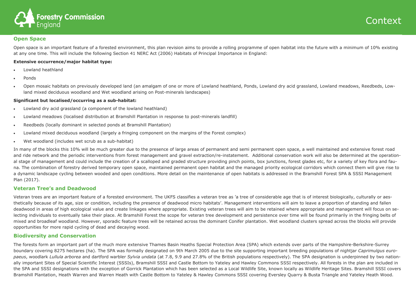### Context



### **Open Space**

Open space is an important feature of a forested environment, this plan revision aims to provide a rolling programme of open habitat into the future with a minimum of 10% existing at any one time. This will include the following Section 41 NERC Act (2006) Habitats of Principal Importance in England:

### **Extensive occurrence/major habitat type:**

- Lowland heathland
- Ponds
- Open mosaic habitats on previously developed land (an amalgam of one or more of Lowland heathland, Ponds, Lowland dry acid grassland, Lowland meadows, Reedbeds, Lowland mixed deciduous woodland and Wet woodland arising on Post-minerals landscapes)

### **Significant but localised/occurring as a sub-habitat:**

- Lowland dry acid grassland (a component of the lowland heathland)
- Lowland meadows (localised distribution at Bramshill Plantation in response to post-minerals landfill)
- Reedbeds (locally dominant in selected ponds at Bramshill Plantation)
- Lowland mixed deciduous woodland (largely a fringing component on the margins of the Forest complex)
- Wet woodland (includes wet scrub as a sub-habitat)

In many of the blocks this 10% will be much greater due to the presence of large areas of permanent and semi permanent open space, a well maintained and extensive forest road and ride network and the periodic interventions from forest management and gravel extraction/re-instatement. Additional conservation work will also be determined at the operational stage of management and could include the creation of a scalloped and graded structure providing pinch points, box junctions, forest glades etc, for a variety of key flora and fauna. The combination of forestry derived temporary open space, maintained permanent open habitat and the managed priority ecological corridors which connect them will give rise to a dynamic landscape cycling between wooded and open conditions. More detail on the maintenance of open habitats is addressed in the Bramshill Forest SPA & SSSI Management Plan (2017).

### **Veteran Tree's and Deadwood**

Veteran trees are an important feature of a forested environment. The UKFS classifies a veteran tree as 'a tree of considerable age that is of interest biologically, culturally or aesthetically because of its age, size or condition, including the presence of deadwood micro habitats'. Management interventions will aim to leave a proportion of standing and fallen deadwood in areas of high ecological value and create linkages where appropriate. Existing veteran trees will aim to be retained where appropriate and management will focus on selecting individuals to eventually take their place. At Bramshill Forest the scope for veteran tree development and persistence over time will be found primarily in the fringing belts of mixed and broadleaf woodland. However, sporadic feature trees will be retained across the dominant Conifer plantation. Wet woodland clusters spread across the blocks will provide opportunities for more rapid cycling of dead and decaying wood.

### **Biodiversity and Conservation**

The forests form an important part of the much more extensive Thames Basin Heaths Special Protection Area (SPA) which extends over parts of the Hampshire-Berkshire-Surrey boundary covering 8275 hectares (ha). The SPA was formally designated on 9th March 2005 due to the site supporting important breeding populations of nightjar *Caprimulgus europaeus*, woodlark *Lullula arborea* and dartford warbler *Sylvia undata* (at 7.8, 9.9 and 27.8% of the British populations respectively). The SPA designation is underpinned by two nationally important Sites of Special Scientific Interest (SSSIs), Bramshill SSSI and Castle Bottom to Yateley and Hawley Commons SSSI respectively. All forests in the plan are included in the SPA and SSSI designations with the exception of Gorrick Plantation which has been selected as a Local Wildlife Site, known locally as Wildlife Heritage Sites. Bramshill SSSI covers Bramshill Plantation, Heath Warren and Warren Heath with Castle Bottom to Yateley & Hawley Commons SSSI covering Eversley Quarry & Busta Triangle and Yateley Heath Wood.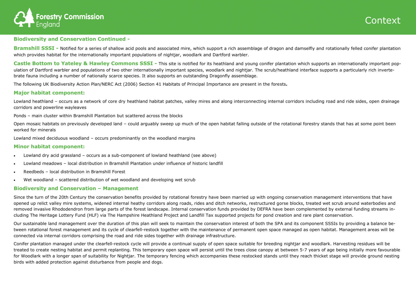### Context



### **Biodiversity and Conservation Continued -**

**Bramshill SSSI** - Notified for a series of shallow acid pools and associated mire, which support a rich assemblage of dragon and damselfly and rotationally felled conifer plantation which provides habitat for the internationally important populations of nightjar, woodlark and Dartford warbler.

Castle Bottom to Yateley & Hawley Commons SSSI - This site is notified for its heathland and young conifer plantation which supports an internationally important population of Dartford warbler and populations of two other internationally important species, woodlark and nightjar. The scrub/heathland interface supports a particularly rich invertebrate fauna including a number of nationally scarce species. It also supports an outstanding Dragonfly assemblage.

Lowland heathland - occurs as a network of core dry heathland habitat patches, valley mires and along interconnecting internal corridors including road and ride sides, open drainage corridors and powerline wayleaves

The following UK Biodiversity Action Plan/NERC Act (2006) Section 41 Habitats of Principal Importance are present in the forests**.**

### **Major habitat component:**

Ponds – main cluster within Bramshill Plantation but scattered across the blocks

Open mosaic habitats on previously developed land – could arguably sweep up much of the open habitat falling outside of the rotational forestry stands that has at some point been worked for minerals

Lowland mixed deciduous woodland – occurs predominantly on the woodland margins

### **Minor habitat component:**

- Lowland dry acid grassland occurs as a sub-component of lowland heathland (see above)
- Lowland meadows local distribution in Bramshill Plantation under influence of historic landfill
- Reedbeds local distribution in Bramshill Forest
- Wet woodland scattered distribution of wet woodland and developing wet scrub

### **Biodiversity and Conservation – Management**

Since the turn of the 20th Century the conservation benefits provided by rotational forestry have been married up with ongoing conservation management interventions that have opened up relict valley mire systems, widened internal heathy corridors along roads, rides and ditch networks, restructured gorse blocks, treated wet scrub around waterbodies and removed invasive Rhododendron from large parts of the forest landscape. Internal conservation funds provided by DEFRA have been complemented by external funding streams including The Heritage Lottery Fund (HLF) via The Hampshire Heathland Project and Landfill Tax supported projects for pond creation and rare plant conservation.

Our sustainable land management over the duration of this plan will seek to maintain the conservation interest of both the SPA and its component SSSIs by providing a balance between rotational forest management and its cycle of clearfell-restock together with the maintenance of permanent open space managed as open habitat. Management areas will be connected via internal corridors comprising the road and ride sides together with drainage infrastructure.

Conifer plantation managed under the clearfell-restock cycle will provide a continual supply of open space suitable for breeding nightjar and woodlark. Harvesting residues will be treated to create nesting habitat and permit replanting. This temporary open space will persist until the trees close canopy at between 5-7 years of age being initially more favourable for Woodlark with a longer span of suitability for Nightjar. The temporary fencing which accompanies these restocked stands until they reach thicket stage will provide ground nesting birds with added protection against disturbance from people and dogs.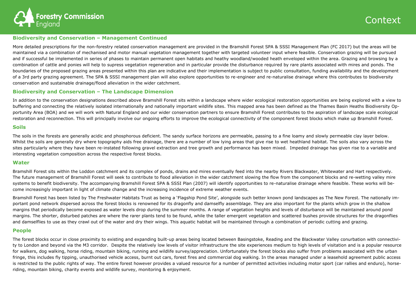

### **Biodiversity and Conservation – Management Continued**

More detailed prescriptions for the non-forestry related conservation management are provided in the Bramshill Forest SPA & SSSI Management Plan (FC 2017) but the areas will be maintained via a combination of mechanised and motor manual vegetation management together with targeted volunteer input where feasible. Conservation grazing will be pursued and if successful be implemented in series of phases to maintain permanent open habitats and heathy woodland/wooded heath enveloped within the area. Grazing and browsing by a combination of cattle and ponies will help to supress vegetation regeneration and in particular provide the disturbance required by rare plants associated with mires and ponds. The boundaries of the proposed grazing areas presented within this plan are indicative and their implementation is subject to public consultation, funding availability and the development of a 3rd party grazing agreement. The SPA & SSSI management plan will also explore opportunities to re-engineer and re-naturalise drainage where this contributes to biodiversity conservation and sustainable drainage/flood alleviation in the wider catchment.

### **Biodiversity and Conservation – The Landscape Dimension**

In addition to the conservation designations described above Bramshill Forest sits within a landscape where wider ecological restoration opportunities are being explored with a view to buffering and connecting the relatively isolated internationally and nationally important wildlife sites. This mapped area has been defined as the Thames Basin Heaths Biodiversity Opportunity Area (BOA) and we will work with Natural England and our wider conservation partners to ensure Bramshill Forest contributes to the aspiration of landscape scale ecological restoration and reconnection. This will principally involve our ongoing efforts to improve the ecological connectivity of the component forest blocks which make up Bramshill Forest.

### **Soils**

Bramshill Forest has been listed by The Freshwater Habitats Trust as being a 'Flagship Pond Site', alongside such better known pond landscapes as The New Forest. The nationally important pond network dispersed across the forest blocks is renowned for its dragonfly and damselfly assemblage. They are also important for the plants which grow in the shallow margins that periodically become exposed as water levels drop during the summer months. A range of vegetation heights and levels of disturbance will be maintained around pond margins. The shorter, disturbed patches are where the rarer plants tend to be found, while the taller emergent vegetation and scattered bushes provide structures for the dragonflies and damselflies to use as they crawl out of the water and dry their wings. This aquatic habitat will be maintained through a combination of periodic cutting and grazing.

The soils in the forests are generally acidic and phosphorous deficient. The sandy surface horizons are permeable, passing to a fine loamy and slowly permeable clay layer below. Whilst the soils are generally dry where topography aids free drainage, there are a number of low lying areas that give rise to wet heathland habitat. The soils also vary across the sites particularly where they have been re-instated following gravel extraction and tree growth and performance has been mixed. Impeded drainage has given rise to a variable and interesting vegetation composition across the respective forest blocks.

### **Water**

Bramshill Forest sits within the Loddon catchment and its complex of ponds, drains and mires eventually feed into the nearby Rivers Blackwater, Whitewater and Hart respectively. The future management of Bramshill Forest will seek to contribute to flood alleviation in the wider catchment slowing the flow from the component blocks and re-wetting valley mire systems to benefit biodiversity. The accompanying Bramshill Forest SPA & SSSI Plan (2007) will identify opportunities to re-naturalise drainage where feasible. These works will become increasingly important in light of climate change and the increasing incidence of extreme weather events.

### **People**

The forest blocks occur in close proximity to existing and expanding built-up areas being located between Basingstoke, Reading and the Blackwater Valley conurbation with connectivity to London and beyond via the M3 corridor. Despite the relatively low levels of visitor infrastructure the site experiences medium to high levels of visitation and is a popular resource for walkers, dog walking, horse riding, mountain biking, running and wildlife survey/appreciation. Unfortunately the forest blocks also suffer from problems associated with the urban fringe, this includes fly tipping, unauthorised vehicle access, burnt out cars, forest fires and commercial dog walking. In the areas managed under a leasehold agreement public access is restricted to the public rights of way. The entire forest however provides a valued resource for a number of permitted activities including motor sport (car rallies and enduro), horseriding, mountain biking, charity events and wildlife survey, monitoring & enjoyment.

## **Context**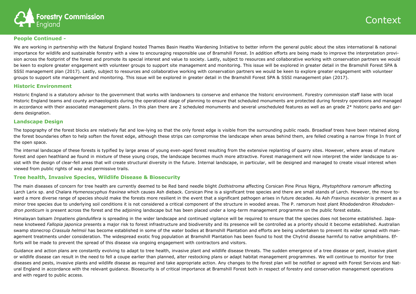

### **People Continued -**

We are working in partnership with the Natural England hosted Thames Basin Heaths Wardening Initiative to better inform the general public about the sites international & national importance for wildlife and sustainable forestry with a view to encouraging responsible use of Bramshill Forest. In addition efforts are being made to improve the interpretation provision across the footprint of the forest and promote its special interest and value to society. Lastly, subject to resources and collaborative working with conservation partners we would be keen to explore greater engagement with volunteer groups to support site management and monitoring. This issue will be explored in greater detail in the Bramshill Forest SPA & SSSI management plan (2017). Lastly, subject to resources and collaborative working with conservation partners we would be keen to explore greater engagement with volunteer groups to support site management and monitoring. This issue will be explored in greater detail in the Bramshill Forest SPA & SSSI management plan (2017).

### **Historic Environment**

Historic England is a statutory advisor to the government that works with landowners to conserve and enhance the historic environment. Forestry commission staff liaise with local Historic England teams and county archaeologists during the operational stage of planning to ensure that scheduled monuments are protected during forestry operations and managed in accordance with their associated management plans. In this plan there are 2 scheduled monuments and several unscheduled features as well as an grade 2\* historic parks and gardens designation.

### **Landscape Design**

The topography of the forest blocks are relatively flat and low-lying so that the only forest edge is visible from the surrounding public roads. Broadleaf trees have been retained along the forest boundaries often to help soften the forest edge, although these strips can compromise the landscape when areas behind them, are felled creating a narrow fringe In front of the open space.

The internal landscape of these forests is typified by large areas of young even-aged forest resulting from the extensive replanting of quarry sites. However, where areas of mature forest and open heathland ae found in mixture of these young crops, the landscape becomes much more attractive. Forest management will now interpret the wider landscape to assist with the design of clear-fell areas that will create structural diversity in the future. Internal landscape, in particular, will be designed and managed to create visual interest when viewed from public rights of way and permissive trails.

Guidance and action plans are constantly evolving to adapt to tree health, invasive plant and wildlife disease threats. The sudden emergence of a tree disease or pest, invasive plant or wildlife disease can result in the need to fell a coupe earlier than planned, alter restocking plans or adapt habitat management programmes. We will continue to monitor for tree diseases and pests, invasive plants and wildlife disease as required and take appropriate action. Any changes to the forest plan will be notified or agreed with Forest Services and Natural England in accordance with the relevant guidance. Biosecurity is of critical importance at Bramshill Forest both in respect of forestry and conservation management operations and with regard to public access.

## Contex

### **Tree health, Invasive Species, Wildlife Disease & Biosecurity**

The main diseases of concern for tree health are currently deemed to be Red band needle blight *Dothistroma* affecting Corsican Pine Pinus Nigra, *Phytophthora ramorum* affecting Larch Larix sp. and Chalara *Hymenoscyphus fraxinea* which causes Ash dieback. Corsican Pine is a significant tree species and there are small stands of Larch. However, the move toward a more diverse range of species should make the forests more resilient in the event that a significant pathogen arises in future decades. As Ash *Fraxinus excelsior* is present as a minor tree species due to underlying soil conditions it is not considered a critical component of the structure in wooded areas. The P. ramorum host plant Rhododendron *Rhododendron ponticum* is present across the forest and the adjoining landscape but has been placed under a long-term management programme on the public forest estate.

Himalayan balsam *Impatiens glandulifera* is spreading in the wider landscape and continued vigilance will be required to ensure that the species does not become established. Japanese knotweed *Fallopia japonica* presents a major risk to forest infrastructure and biodiversity and its presence will be controlled as a priority should it become established. Australian swamp stonecrop *Crassula helmsii* has become established in some of the water bodies at Bramshill Plantation and efforts are being undertaken to prevent its wider spread with management treatments under consideration. The widespread exotic frog population at Bramshill Plantation has been found to host the Chytrid disease harmful to native amphibians. Efforts will be made to prevent the spread of this disease via ongoing engagement with contractors and visitors.